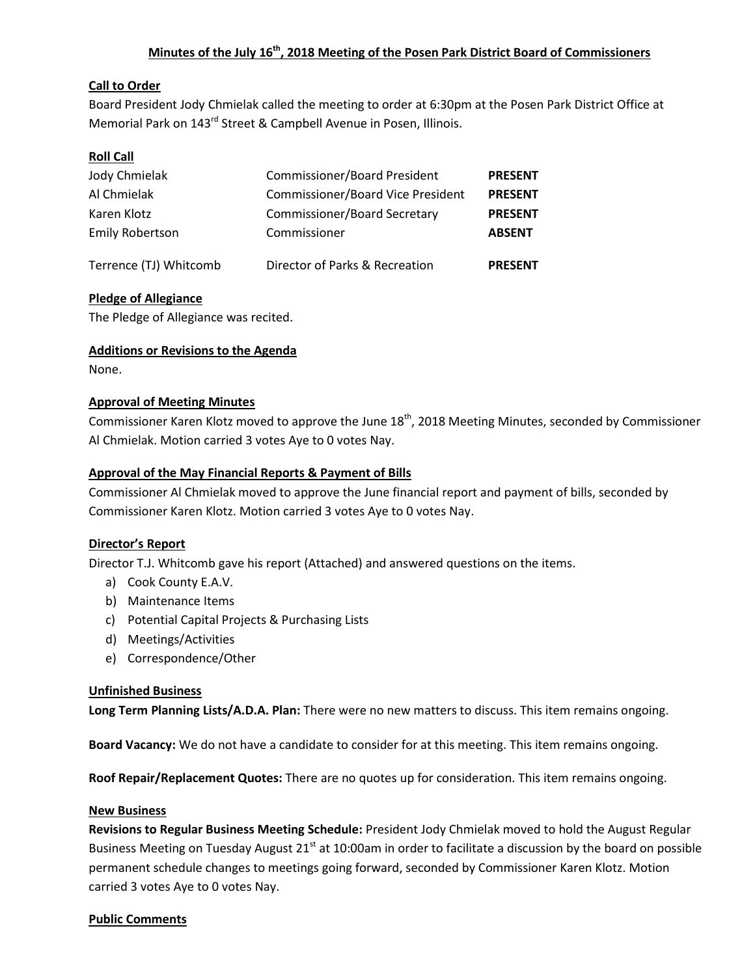# **Minutes of the July 16 th, 2018 Meeting of the Posen Park District Board of Commissioners**

# **Call to Order**

Board President Jody Chmielak called the meeting to order at 6:30pm at the Posen Park District Office at Memorial Park on 143<sup>rd</sup> Street & Campbell Avenue in Posen, Illinois.

# **Roll Call**

| Jody Chmielak          | <b>Commissioner/Board President</b>      | <b>PRESENT</b> |
|------------------------|------------------------------------------|----------------|
| Al Chmielak            | <b>Commissioner/Board Vice President</b> | <b>PRESENT</b> |
| Karen Klotz            | <b>Commissioner/Board Secretary</b>      | <b>PRESENT</b> |
| <b>Emily Robertson</b> | Commissioner                             | <b>ABSENT</b>  |
| Terrence (TJ) Whitcomb | Director of Parks & Recreation           | <b>PRESENT</b> |

# **Pledge of Allegiance**

The Pledge of Allegiance was recited.

# **Additions or Revisions to the Agenda**

None.

# **Approval of Meeting Minutes**

Commissioner Karen Klotz moved to approve the June 18<sup>th</sup>, 2018 Meeting Minutes, seconded by Commissioner Al Chmielak. Motion carried 3 votes Aye to 0 votes Nay.

# **Approval of the May Financial Reports & Payment of Bills**

Commissioner Al Chmielak moved to approve the June financial report and payment of bills, seconded by Commissioner Karen Klotz. Motion carried 3 votes Aye to 0 votes Nay.

# **Director's Report**

Director T.J. Whitcomb gave his report (Attached) and answered questions on the items.

- a) Cook County E.A.V.
- b) Maintenance Items
- c) Potential Capital Projects & Purchasing Lists
- d) Meetings/Activities
- e) Correspondence/Other

# **Unfinished Business**

**Long Term Planning Lists/A.D.A. Plan:** There were no new matters to discuss. This item remains ongoing.

**Board Vacancy:** We do not have a candidate to consider for at this meeting. This item remains ongoing.

**Roof Repair/Replacement Quotes:** There are no quotes up for consideration. This item remains ongoing.

#### **New Business**

**Revisions to Regular Business Meeting Schedule:** President Jody Chmielak moved to hold the August Regular Business Meeting on Tuesday August 21<sup>st</sup> at 10:00am in order to facilitate a discussion by the board on possible permanent schedule changes to meetings going forward, seconded by Commissioner Karen Klotz. Motion carried 3 votes Aye to 0 votes Nay.

#### **Public Comments**